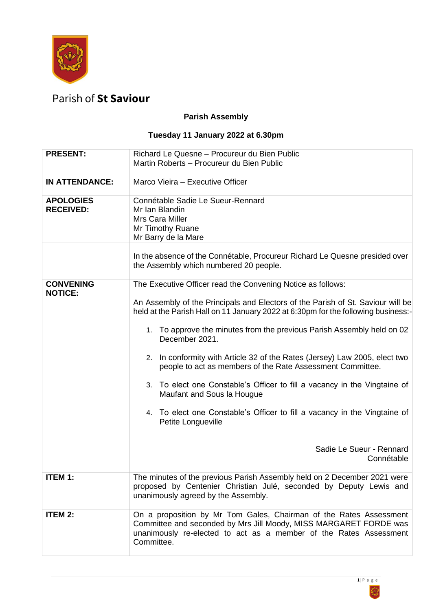

## Parish of **St Saviour**

## **Parish Assembly**

## **Tuesday 11 January 2022 at 6.30pm**

| <b>PRESENT:</b>                      | Richard Le Quesne - Procureur du Bien Public<br>Martin Roberts - Procureur du Bien Public                                                                                                                                                                                                                                                                                                                                                                                                                                                                                                                                                                                                 |
|--------------------------------------|-------------------------------------------------------------------------------------------------------------------------------------------------------------------------------------------------------------------------------------------------------------------------------------------------------------------------------------------------------------------------------------------------------------------------------------------------------------------------------------------------------------------------------------------------------------------------------------------------------------------------------------------------------------------------------------------|
| <b>IN ATTENDANCE:</b>                | Marco Vieira - Executive Officer                                                                                                                                                                                                                                                                                                                                                                                                                                                                                                                                                                                                                                                          |
| <b>APOLOGIES</b><br><b>RECEIVED:</b> | Connétable Sadie Le Sueur-Rennard<br>Mr Ian Blandin<br>Mrs Cara Miller<br>Mr Timothy Ruane<br>Mr Barry de la Mare<br>In the absence of the Connétable, Procureur Richard Le Quesne presided over                                                                                                                                                                                                                                                                                                                                                                                                                                                                                          |
|                                      | the Assembly which numbered 20 people.                                                                                                                                                                                                                                                                                                                                                                                                                                                                                                                                                                                                                                                    |
| <b>CONVENING</b><br><b>NOTICE:</b>   | The Executive Officer read the Convening Notice as follows:<br>An Assembly of the Principals and Electors of the Parish of St. Saviour will be<br>held at the Parish Hall on 11 January 2022 at 6:30pm for the following business:-<br>1. To approve the minutes from the previous Parish Assembly held on 02<br>December 2021.<br>2. In conformity with Article 32 of the Rates (Jersey) Law 2005, elect two<br>people to act as members of the Rate Assessment Committee.<br>3. To elect one Constable's Officer to fill a vacancy in the Vingtaine of<br>Maufant and Sous la Hougue<br>4. To elect one Constable's Officer to fill a vacancy in the Vingtaine of<br>Petite Longueville |
|                                      | Sadie Le Sueur - Rennard<br>Connétable                                                                                                                                                                                                                                                                                                                                                                                                                                                                                                                                                                                                                                                    |
| <b>ITEM 1:</b>                       | The minutes of the previous Parish Assembly held on 2 December 2021 were<br>proposed by Centenier Christian Julé, seconded by Deputy Lewis and<br>unanimously agreed by the Assembly.                                                                                                                                                                                                                                                                                                                                                                                                                                                                                                     |
| <b>ITEM 2:</b>                       | On a proposition by Mr Tom Gales, Chairman of the Rates Assessment<br>Committee and seconded by Mrs Jill Moody, MISS MARGARET FORDE was<br>unanimously re-elected to act as a member of the Rates Assessment<br>Committee.                                                                                                                                                                                                                                                                                                                                                                                                                                                                |